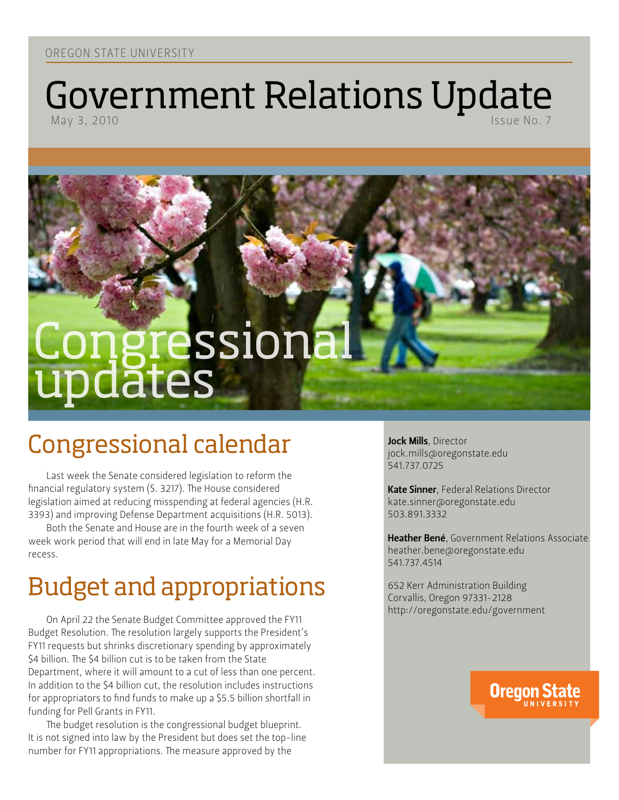#### May 3, 2010 Government Relations Update

# Congressional updates

# Congressional calendar

Last week the Senate considered legislation to reform the financial regulatory system (S. 3217). The House considered legislation aimed at reducing misspending at federal agencies (H.R. 3393) and improving Defense Department acquisitions (H.R. 5013).

Both the Senate and House are in the fourth week of a seven week work period that will end in late May for a Memorial Day recess.

# Budget and appropriations

On April 22 the Senate Budget Committee approved the FY11 Budget Resolution. The resolution largely supports the President's FY11 requests but shrinks discretionary spending by approximately \$4 billion. The \$4 billion cut is to be taken from the State Department, where it will amount to a cut of less than one percent. In addition to the \$4 billion cut, the resolution includes instructions for appropriators to find funds to make up a \$5.5 billion shortfall in funding for Pell Grants in FY11.

The budget resolution is the congressional budget blueprint. It is not signed into law by the President but does set the top-line number for FY11 appropriations. The measure approved by the

Jock Mills, Director jock.mills@oregonstate.edu 541.737.0725

Kate Sinner, Federal Relations Director kate.sinner@oregonstate.edu 503.891.3332

Heather Bené, Government Relations Associate heather.bene@oregonstate.edu 541.737.4514

652 Kerr Administration Building Corvallis, Oregon 97331-2128 http://oregonstate.edu/government

# **Oregon State**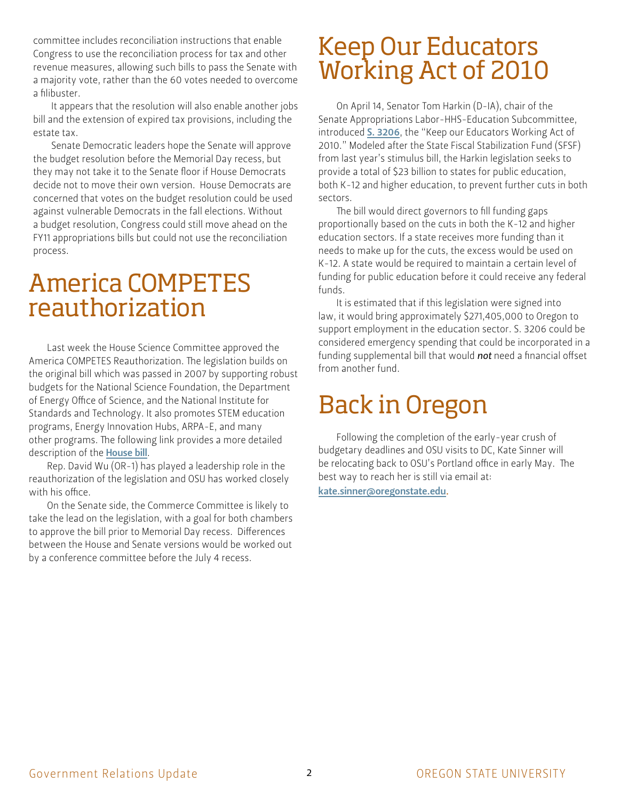committee includes reconciliation instructions that enable Congress to use the reconciliation process for tax and other revenue measures, allowing such bills to pass the Senate with a majority vote, rather than the 60 votes needed to overcome a filibuster.

It appears that the resolution will also enable another jobs bill and the extension of expired tax provisions, including the estate tax.

Senate Democratic leaders hope the Senate will approve the budget resolution before the Memorial Day recess, but they may not take it to the Senate floor if House Democrats decide not to move their own version. House Democrats are concerned that votes on the budget resolution could be used against vulnerable Democrats in the fall elections. Without a budget resolution, Congress could still move ahead on the FY11 appropriations bills but could not use the reconciliation process.

### America COMPETES reauthorization

Last week the House Science Committee approved the America COMPETES Reauthorization. The legislation builds on the original bill which was passed in 2007 by supporting robust budgets for the National Science Foundation, the Department of Energy Office of Science, and the National Institute for Standards and Technology. It also promotes STEM education programs, Energy Innovation Hubs, ARPA-E, and many other programs. The following link provides a more detailed description of the [House bill](http://science.house.gov/publications/hearings_markups_details.aspx?NewsID=2801).

Rep. David Wu (OR-1) has played a leadership role in the reauthorization of the legislation and OSU has worked closely with his office.

On the Senate side, the Commerce Committee is likely to take the lead on the legislation, with a goal for both chambers to approve the bill prior to Memorial Day recess. Differences between the House and Senate versions would be worked out by a conference committee before the July 4 recess.

### Keep Our Educators Working Act of 2010

On April 14, Senator Tom Harkin (D-IA), chair of the Senate Appropriations Labor-HHS-Education Subcommittee, introduced [S. 3206](http://harkin.senate.gov/documents/pdf/4bc5e9c92993c.pdf), the "Keep our Educators Working Act of 2010." Modeled after the State Fiscal Stabilization Fund (SFSF) from last year's stimulus bill, the Harkin legislation seeks to provide a total of \$23 billion to states for public education, both K-12 and higher education, to prevent further cuts in both sectors.

The bill would direct governors to fill funding gaps proportionally based on the cuts in both the K-12 and higher education sectors. If a state receives more funding than it needs to make up for the cuts, the excess would be used on K-12. A state would be required to maintain a certain level of funding for public education before it could receive any federal funds.

It is estimated that if this legislation were signed into law, it would bring approximately \$271,405,000 to Oregon to support employment in the education sector. S. 3206 could be considered emergency spending that could be incorporated in a funding supplemental bill that would *not* need a financial offset from another fund.

# Back in Oregon

Following the completion of the early-year crush of budgetary deadlines and OSU visits to DC, Kate Sinner will be relocating back to OSU's Portland office in early May. The best way to reach her is still via email at:

kate.sinner@oregonstate.edu.